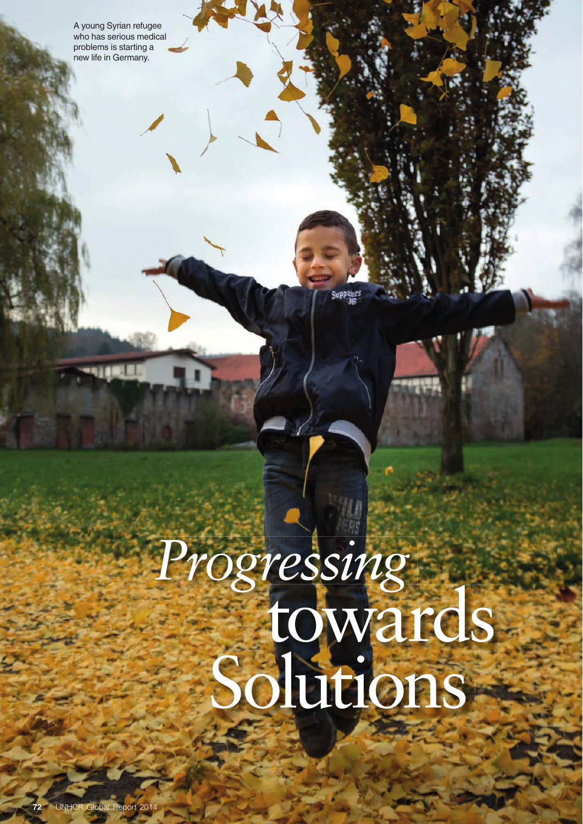A young Syrian refugee who has serious medical problems is starting a new life in Germany.

# towards *Progressing* Solutions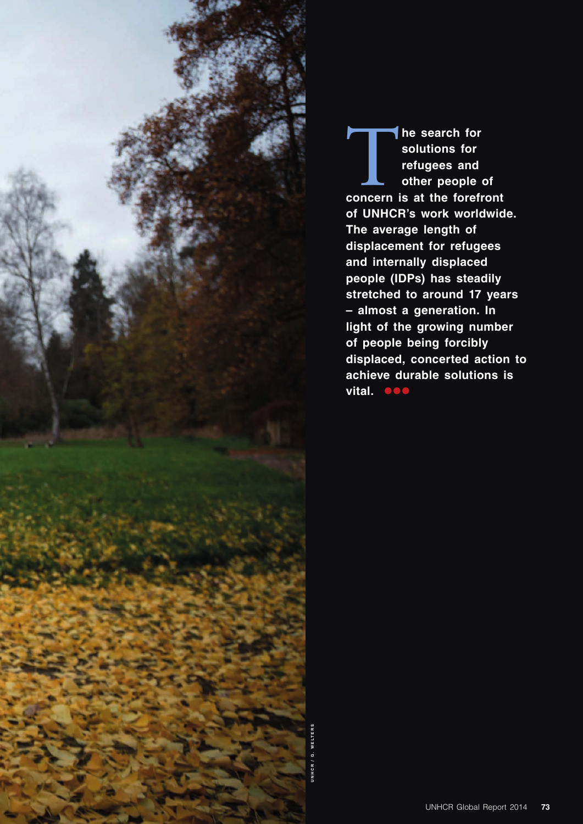

The search for<br>
solutions for<br>
refugees and<br>
other people of<br>
concern is at the forefront **solutions for refugees and other people of of UNHCR's work worldwide. The average length of displacement for refugees and internally displaced people (IDPs) has steadily stretched to around 17 years – almost a generation. In light of the growing number of people being forcibly displaced, concerted action to achieve durable solutions is vital.**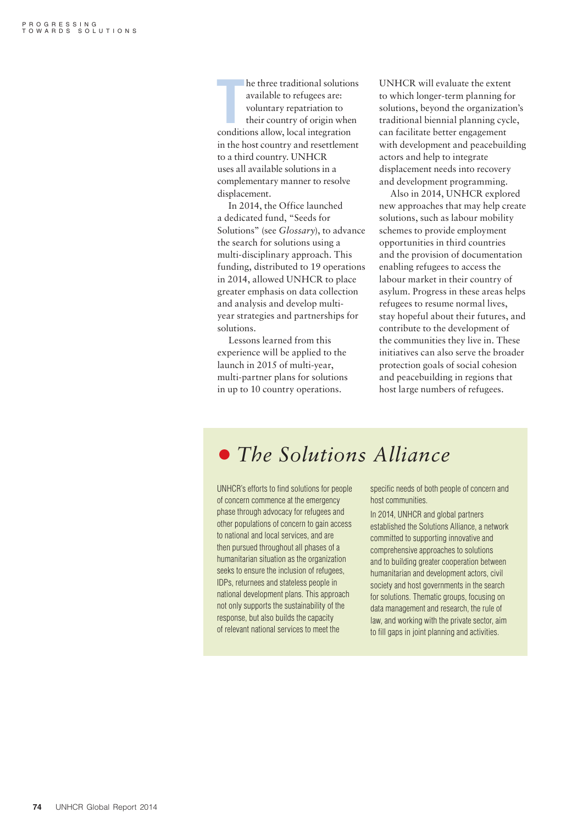**THE SET ASSEMBED THE SET AND THE SET AND THE SET AND THE COUNTRY PERTITURITY OF ORIGIN INCOLLED A CONTROLLED CONTROLLED CONTROLLED CONTROLLED CONTROLLED CONTROLLED AND CONTROLLED AND CONTROLLED AND CONTROLLED A CONTROLLED** he three traditional solutions available to refugees are: voluntary repatriation to their country of origin when in the host country and resettlement to a third country. UNHCR uses all available solutions in a complementary manner to resolve displacement.

In 2014, the Office launched a dedicated fund, "Seeds for Solutions" (see *Glossary*), to advance the search for solutions using a multi-disciplinary approach. This funding, distributed to 19 operations in 2014, allowed UNHCR to place greater emphasis on data collection and analysis and develop multiyear strategies and partnerships for solutions.

Lessons learned from this experience will be applied to the launch in 2015 of multi-year, multi-partner plans for solutions in up to 10 country operations.

UNHCR will evaluate the extent to which longer-term planning for solutions, beyond the organization's traditional biennial planning cycle, can facilitate better engagement with development and peacebuilding actors and help to integrate displacement needs into recovery and development programming.

Also in 2014, UNHCR explored new approaches that may help create solutions, such as labour mobility schemes to provide employment opportunities in third countries and the provision of documentation enabling refugees to access the labour market in their country of asylum. Progress in these areas helps refugees to resume normal lives, stay hopeful about their futures, and contribute to the development of the communities they live in. These initiatives can also serve the broader protection goals of social cohesion and peacebuilding in regions that host large numbers of refugees.

#### • *The Solutions Alliance*

UNHCR's efforts to find solutions for people of concern commence at the emergency phase through advocacy for refugees and other populations of concern to gain access to national and local services, and are then pursued throughout all phases of a humanitarian situation as the organization seeks to ensure the inclusion of refugees, IDPs, returnees and stateless people in national development plans. This approach not only supports the sustainability of the response, but also builds the capacity of relevant national services to meet the

specific needs of both people of concern and host communities.

In 2014, UNHCR and global partners established the Solutions Alliance, a network committed to supporting innovative and comprehensive approaches to solutions and to building greater cooperation between humanitarian and development actors, civil society and host governments in the search for solutions. Thematic groups, focusing on data management and research, the rule of law, and working with the private sector, aim to fill gaps in joint planning and activities.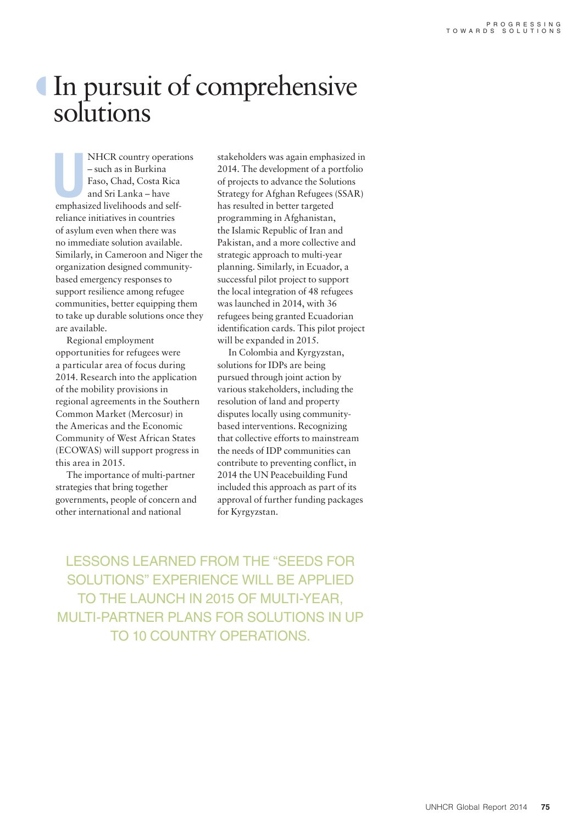## º In pursuit of comprehensive solutions

NHCR country operations and self-<br>
used and Sri Lanka – have<br>
emphasized livelihoods and self-NHCR country operations – such as in Burkina Faso, Chad, Costa Rica and Sri Lanka – have reliance initiatives in countries of asylum even when there was no immediate solution available. Similarly, in Cameroon and Niger the organization designed communitybased emergency responses to support resilience among refugee communities, better equipping them to take up durable solutions once they are available.

Regional employment opportunities for refugees were a particular area of focus during 2014. Research into the application of the mobility provisions in regional agreements in the Southern Common Market (Mercosur) in the Americas and the Economic Community of West African States (ECOWAS) will support progress in this area in 2015.

The importance of multi-partner strategies that bring together governments, people of concern and other international and national

stakeholders was again emphasized in 2014. The development of a portfolio of projects to advance the Solutions Strategy for Afghan Refugees (SSAR) has resulted in better targeted programming in Afghanistan, the Islamic Republic of Iran and Pakistan, and a more collective and strategic approach to multi-year planning. Similarly, in Ecuador, a successful pilot project to support the local integration of 48 refugees was launched in 2014, with 36 refugees being granted Ecuadorian identification cards. This pilot project will be expanded in 2015.

In Colombia and Kyrgyzstan, solutions for IDPs are being pursued through joint action by various stakeholders, including the resolution of land and property disputes locally using communitybased interventions. Recognizing that collective efforts to mainstream the needs of IDP communities can contribute to preventing conflict, in 2014 the UN Peacebuilding Fund included this approach as part of its approval of further funding packages for Kyrgyzstan.

LESSONS LEARNED FROM THE "SEEDS FOR SOLUTIONS" EXPERIENCE WILL BE APPLIED TO THE LAUNCH IN 2015 OF MULTI-YEAR, MULTI-PARTNER PLANS FOR SOLUTIONS IN UP TO 10 COUNTRY OPERATIONS.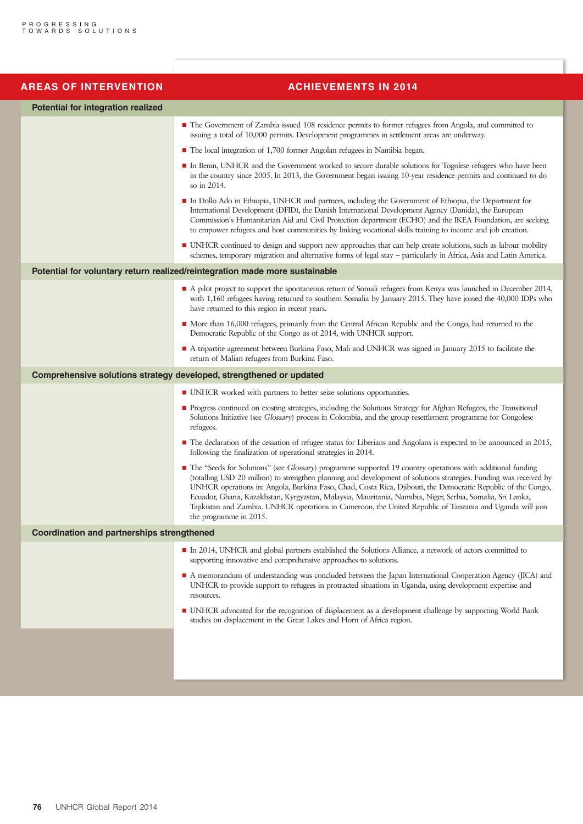| <b>AREAS OF INTERVENTION</b>                      | <b>ACHIEVEMENTS IN 2014</b>                                                                                                                                                                                                                                                                                                                                                                                                                                                                                                                                                                            |
|---------------------------------------------------|--------------------------------------------------------------------------------------------------------------------------------------------------------------------------------------------------------------------------------------------------------------------------------------------------------------------------------------------------------------------------------------------------------------------------------------------------------------------------------------------------------------------------------------------------------------------------------------------------------|
| <b>Potential for integration realized</b>         |                                                                                                                                                                                                                                                                                                                                                                                                                                                                                                                                                                                                        |
|                                                   | • The Government of Zambia issued 108 residence permits to former refugees from Angola, and committed to<br>issuing a total of 10,000 permits. Development programmes in settlement areas are underway.                                                                                                                                                                                                                                                                                                                                                                                                |
|                                                   | ■ The local integration of 1,700 former Angolan refugees in Namibia began.                                                                                                                                                                                                                                                                                                                                                                                                                                                                                                                             |
|                                                   | In Benin, UNHCR and the Government worked to secure durable solutions for Togolese refugees who have been<br>in the country since 2005. In 2013, the Government began issuing 10-year residence permits and continued to do<br>so in 2014.                                                                                                                                                                                                                                                                                                                                                             |
|                                                   | In Dollo Ado in Ethiopia, UNHCR and partners, including the Government of Ethiopia, the Department for<br>International Development (DFID), the Danish International Development Agency (Danida), the European<br>Commission's Humanitarian Aid and Civil Protection department (ECHO) and the IKEA Foundation, are seeking<br>to empower refugees and host communities by linking vocational skills training to income and job creation.                                                                                                                                                              |
|                                                   | • UNHCR continued to design and support new approaches that can help create solutions, such as labour mobility<br>schemes, temporary migration and alternative forms of legal stay - particularly in Africa, Asia and Latin America.                                                                                                                                                                                                                                                                                                                                                                   |
|                                                   | Potential for voluntary return realized/reintegration made more sustainable                                                                                                                                                                                                                                                                                                                                                                                                                                                                                                                            |
|                                                   | A pilot project to support the spontaneous return of Somali refugees from Kenya was launched in December 2014,<br>with 1,160 refugees having returned to southern Somalia by January 2015. They have joined the 40,000 IDPs who<br>have returned to this region in recent years.                                                                                                                                                                                                                                                                                                                       |
|                                                   | • More than 16,000 refugees, primarily from the Central African Republic and the Congo, had returned to the<br>Democratic Republic of the Congo as of 2014, with UNHCR support.                                                                                                                                                                                                                                                                                                                                                                                                                        |
|                                                   | A tripartite agreement between Burkina Faso, Mali and UNHCR was signed in January 2015 to facilitate the<br>return of Malian refugees from Burkina Faso.                                                                                                                                                                                                                                                                                                                                                                                                                                               |
|                                                   | Comprehensive solutions strategy developed, strengthened or updated                                                                                                                                                                                                                                                                                                                                                                                                                                                                                                                                    |
|                                                   | ■ UNHCR worked with partners to better seize solutions opportunities.                                                                                                                                                                                                                                                                                                                                                                                                                                                                                                                                  |
|                                                   | Progress continued on existing strategies, including the Solutions Strategy for Afghan Refugees, the Transitional<br>Solutions Initiative (see Glossary) process in Colombia, and the group resettlement programme for Congolese<br>refugees.                                                                                                                                                                                                                                                                                                                                                          |
|                                                   | • The declaration of the cessation of refugee status for Liberians and Angolans is expected to be announced in 2015,<br>following the finalization of operational strategies in 2014.                                                                                                                                                                                                                                                                                                                                                                                                                  |
|                                                   | • The "Seeds for Solutions" (see Glossary) programme supported 19 country operations with additional funding<br>(totalling USD 20 million) to strengthen planning and development of solutions strategies. Funding was received by<br>UNHCR operations in: Angola, Burkina Faso, Chad, Costa Rica, Djibouti, the Democratic Republic of the Congo,<br>Ecuador, Ghana, Kazakhstan, Kyrgyzstan, Malaysia, Mauritania, Namibia, Niger, Serbia, Somalia, Sri Lanka,<br>Tajikistan and Zambia. UNHCR operations in Cameroon, the United Republic of Tanzania and Uganda will join<br>the programme in 2015. |
| <b>Coordination and partnerships strengthened</b> |                                                                                                                                                                                                                                                                                                                                                                                                                                                                                                                                                                                                        |
|                                                   | In 2014, UNHCR and global partners established the Solutions Alliance, a network of actors committed to<br>supporting innovative and comprehensive approaches to solutions.                                                                                                                                                                                                                                                                                                                                                                                                                            |
|                                                   | A memorandum of understanding was concluded between the Japan International Cooperation Agency (JICA) and<br>UNHCR to provide support to refugees in protracted situations in Uganda, using development expertise and<br>resources.                                                                                                                                                                                                                                                                                                                                                                    |
|                                                   | • UNHCR advocated for the recognition of displacement as a development challenge by supporting World Bank                                                                                                                                                                                                                                                                                                                                                                                                                                                                                              |
|                                                   | studies on displacement in the Great Lakes and Horn of Africa region.                                                                                                                                                                                                                                                                                                                                                                                                                                                                                                                                  |
|                                                   |                                                                                                                                                                                                                                                                                                                                                                                                                                                                                                                                                                                                        |
|                                                   |                                                                                                                                                                                                                                                                                                                                                                                                                                                                                                                                                                                                        |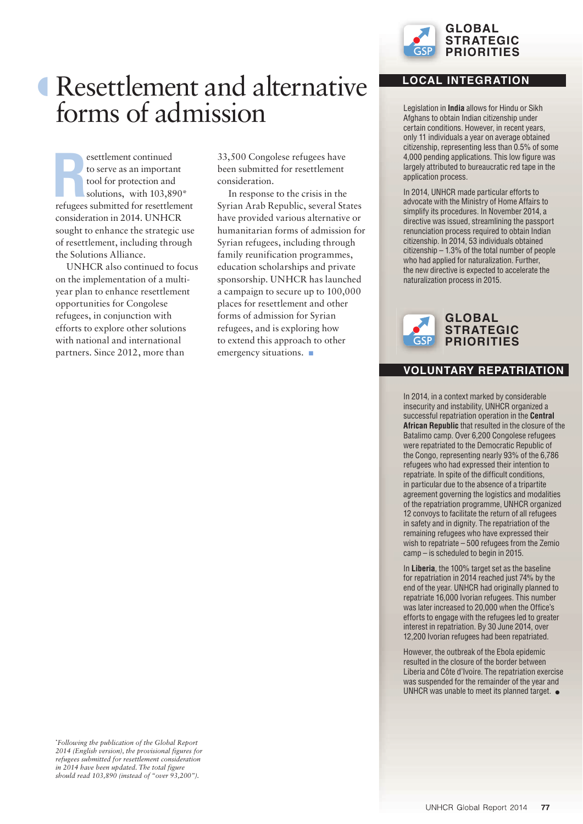

## º Resettlement and alternative forms of admission

**R** refugees submitted for resettlement esettlement continued to serve as an important tool for protection and solutions, with 103,890\* consideration in 2014. UNHCR sought to enhance the strategic use of resettlement, including through the Solutions Alliance.

UNHCR also continued to focus on the implementation of a multiyear plan to enhance resettlement opportunities for Congolese refugees, in conjunction with efforts to explore other solutions with national and international partners. Since 2012, more than

33,500 Congolese refugees have been submitted for resettlement consideration.

In response to the crisis in the Syrian Arab Republic, several States have provided various alternative or humanitarian forms of admission for Syrian refugees, including through family reunification programmes, education scholarships and private sponsorship. UNHCR has launched a campaign to secure up to 100,000 places for resettlement and other forms of admission for Syrian refugees, and is exploring how to extend this approach to other emergency situations.  $\blacksquare$ 

#### **LOCAL INTEGRATION**

Legislation in **India** allows for Hindu or Sikh Afghans to obtain Indian citizenship under certain conditions. However, in recent years, only 11 individuals a year on average obtained citizenship, representing less than 0.5% of some 4,000 pending applications. This low figure was largely attributed to bureaucratic red tape in the application process.

In 2014, UNHCR made particular efforts to advocate with the Ministry of Home Affairs to simplify its procedures. In November 2014, a directive was issued, streamlining the passport renunciation process required to obtain Indian citizenship. In 2014, 53 individuals obtained citizenship – 1.3% of the total number of people who had applied for naturalization. Further, the new directive is expected to accelerate the naturalization process in 2015.



#### **VOLUNTARY REPATRIATION**

In 2014, in a context marked by considerable insecurity and instability, UNHCR organized a successful repatriation operation in the **Central African Republic** that resulted in the closure of the Batalimo camp. Over 6,200 Congolese refugees were repatriated to the Democratic Republic of the Congo, representing nearly 93% of the 6,786 refugees who had expressed their intention to repatriate. In spite of the difficult conditions, in particular due to the absence of a tripartite agreement governing the logistics and modalities of the repatriation programme, UNHCR organized 12 convoys to facilitate the return of all refugees in safety and in dignity. The repatriation of the remaining refugees who have expressed their wish to repatriate – 500 refugees from the Zemio camp – is scheduled to begin in 2015.

In **Liberia**, the 100% target set as the baseline for repatriation in 2014 reached just 74% by the end of the year. UNHCR had originally planned to repatriate 16,000 Ivorian refugees. This number was later increased to 20,000 when the Office's efforts to engage with the refugees led to greater interest in repatriation. By 30 June 2014, over 12,200 Ivorian refugees had been repatriated.

However, the outbreak of the Ebola epidemic resulted in the closure of the border between Liberia and Côte d'Ivoire. The repatriation exercise was suspended for the remainder of the year and UNHCR was unable to meet its planned target.  $\bullet$ 

**\*** *Following the publication of the Global Report 2014 (English version), the provisional figures for refugees submitted for resettlement consideration in 2014 have been updated. The total figure should read 103,890 (instead of "over 93,200").*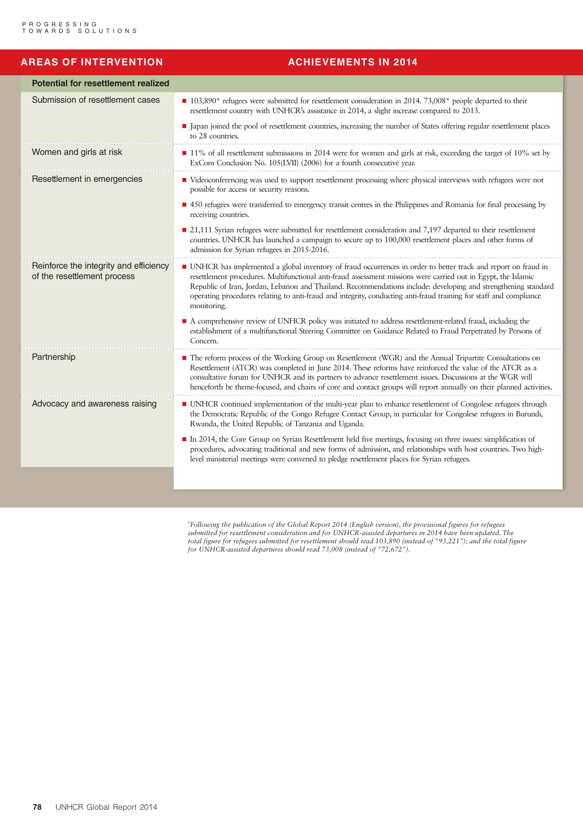| <b>AREAS OF INTERVENTION</b>                                          | <b>ACHIEVEMENTS IN 2014</b>                                                                                                                                                                                                                                                                                                                                                                                                                                                              |
|-----------------------------------------------------------------------|------------------------------------------------------------------------------------------------------------------------------------------------------------------------------------------------------------------------------------------------------------------------------------------------------------------------------------------------------------------------------------------------------------------------------------------------------------------------------------------|
| <b>Potential for resettlement realized</b>                            |                                                                                                                                                                                                                                                                                                                                                                                                                                                                                          |
| Submission of resettlement cases                                      | ■ 103,890* refugees were submitted for resettlement consideration in 2014. 73,008* people departed to their<br>resettlement country with UNHCR's assistance in 2014, a slight increase compared to 2013.                                                                                                                                                                                                                                                                                 |
|                                                                       | I Japan joined the pool of resettlement countries, increasing the number of States offering regular resettlement places<br>to 28 countries.                                                                                                                                                                                                                                                                                                                                              |
| Women and girls at risk                                               | ■ 11% of all resettlement submissions in 2014 were for women and girls at risk, exceeding the target of 10% set by<br>ExCom Conclusion No. 105(LVII) (2006) for a fourth consecutive year.                                                                                                                                                                                                                                                                                               |
| Resettlement in emergencies                                           | " Videoconferencing was used to support resettlement processing where physical interviews with refugees were not<br>possible for access or security reasons.                                                                                                                                                                                                                                                                                                                             |
|                                                                       | ■ 450 refugees were transferred to emergency transit centres in the Philippines and Romania for final processing by<br>receiving countries.                                                                                                                                                                                                                                                                                                                                              |
|                                                                       | ■ 21,111 Syrian refugees were submitted for resettlement consideration and 7,197 departed to their resettlement<br>countries. UNHCR has launched a campaign to secure up to 100,000 resettlement places and other forms of<br>admission for Syrian refugees in 2015-2016.                                                                                                                                                                                                                |
| Reinforce the integrity and efficiency<br>of the resettlement process | • UNHCR has implemented a global inventory of fraud occurrences in order to better track and report on fraud in<br>resettlement procedures. Multifunctional anti-fraud assessment missions were carried out in Egypt, the Islamic<br>Republic of Iran, Jordan, Lebanon and Thailand. Recommendations include: developing and strengthening standard<br>operating procedures relating to anti-fraud and integrity, conducting anti-fraud training for staff and compliance<br>monitoring. |
|                                                                       | A comprehensive review of UNHCR policy was initiated to address resettlement-related fraud, including the<br>establishment of a multifunctional Steering Committee on Guidance Related to Fraud Perpetrated by Persons of<br>Concern.                                                                                                                                                                                                                                                    |
| Partnership                                                           | The reform process of the Working Group on Resettlement (WGR) and the Annual Tripartite Consultations on<br>Resettlement (ATCR) was completed in June 2014. These reforms have reinforced the value of the ATCR as a<br>consultative forum for UNHCR and its partners to advance resettlement issues. Discussions at the WGR will<br>henceforth be theme-focused, and chairs of core and contact groups will report annually on their planned activities.                                |
| Advocacy and awareness raising                                        | • UNHCR continued implementation of the multi-year plan to enhance resettlement of Congolese refugees through<br>the Democratic Republic of the Congo Refugee Contact Group, in particular for Congolese refugees in Burundi,<br>Rwanda, the United Republic of Tanzania and Uganda.                                                                                                                                                                                                     |
|                                                                       | In 2014, the Core Group on Syrian Resettlement held five meetings, focusing on three issues: simplification of<br>procedures, advocating traditional and new forms of admission, and relationships with host countries. Two high-<br>level ministerial meetings were convened to pledge resettlement places for Syrian refugees.                                                                                                                                                         |
|                                                                       |                                                                                                                                                                                                                                                                                                                                                                                                                                                                                          |

**\*** *Following the publication of the Global Report 2014 (English version), the provisional figures for refugees submitted for resettlement consideration and for UNHCR-assisted departures in 2014 have been updated. The total figure for refugees submitted for resettlement should read 103,890 (instead of "93,221"); and the total figure for UNHCR-assisted departures should read 73,008 (instead of "72,672").*